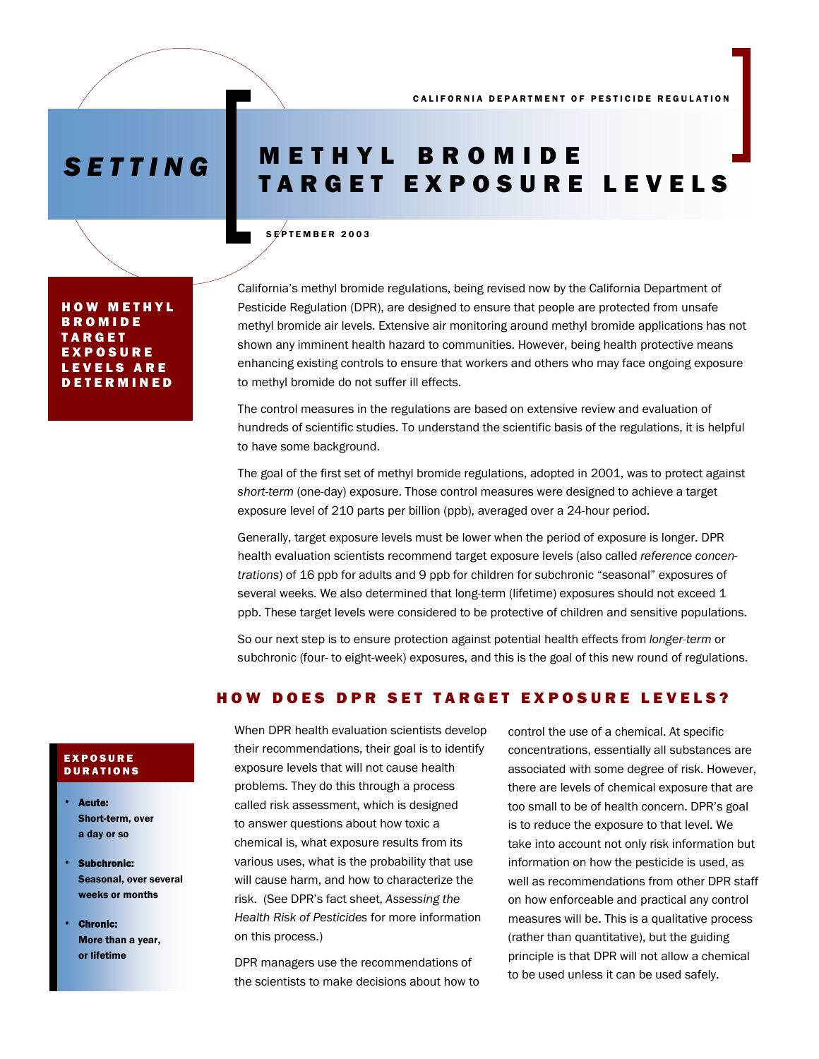# *SETTING* METHYL BROMIDE TARGET EXPOSURE LEVELS

### SEPTEMBER 2003

HOW METHYL BROMIDE TARGET EXPOSURE LEVELS ARE DETERMINED

California's methyl bromide regulations, being revised now by the California Department of Pesticide Regulation (DPR), are designed to ensure that people are protected from unsafe methyl bromide air levels. Extensive air monitoring around methyl bromide applications has not shown any imminent health hazard to communities. However, being health protective means enhancing existing controls to ensure that workers and others who may face ongoing exposure to methyl bromide do not suffer ill effects.

The control measures in the regulations are based on extensive review and evaluation of hundreds of scientific studies. To understand the scientific basis of the regulations, it is helpful to have some background.

The goal of the first set of methyl bromide regulations, adopted in 2001, was to protect against *short-term* (one-day) exposure. Those control measures were designed to achieve a target exposure level of 210 parts per billion (ppb), averaged over a 24-hour period.

Generally, target exposure levels must be lower when the period of exposure is longer. DPR health evaluation scientists recommend target exposure levels (also called *reference concentrations*) of 16 ppb for adults and 9 ppb for children for subchronic "seasonal" exposures of several weeks. We also determined that long-term (lifetime) exposures should not exceed 1 ppb. These target levels were considered to be protective of children and sensitive populations.

So our next step is to ensure protection against potential health effects from *longer-term* or subchronic (four- to eight-week) exposures, and this is the goal of this new round of regulations.

## HOW DOES DPR SET TARGET EXPOSURE LEVELS?

When DPR health evaluation scientists develop their recommendations, their goal is to identify exposure levels that will not cause health problems. They do this through a process called risk assessment, which is designed to answer questions about how toxic a chemical is, what exposure results from its various uses, what is the probability that use will cause harm, and how to characterize the risk. (See DPR's fact sheet, *Assessing the Health Risk of Pesticides* for more information on this process.)

DPR managers use the recommendations of the scientists to make decisions about how to control the use of a chemical. At specific concentrations, essentially all substances are associated with some degree of risk. However, there are levels of chemical exposure that are too small to be of health concern. DPR's goal is to reduce the exposure to that level. We take into account not only risk information but information on how the pesticide is used, as well as recommendations from other DPR staff on how enforceable and practical any control measures will be. This is a qualitative process (rather than quantitative), but the guiding principle is that DPR will not allow a chemical to be used unless it can be used safely.

### EXPOSURE **DURATIONS**

- Acute: Short-term, over a day or so
- Subchronic: Seasonal, over several weeks or months
- **Chronic:** More than a year, or lifetime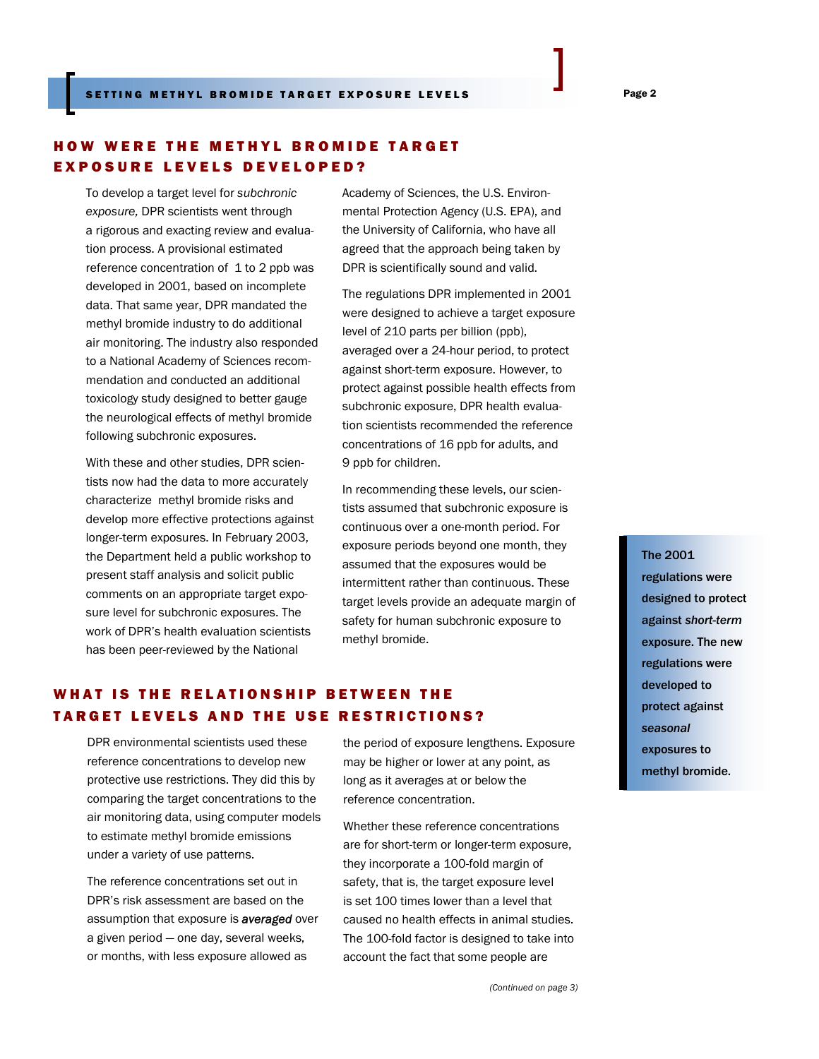# HOW WERE THE METHYL BROMIDE TARGET EXPOSURE LEVELS DEVELOPED?

To develop a target level for *subchronic exposure,* DPR scientists went through a rigorous and exacting review and evaluation process. A provisional estimated reference concentration of 1 to 2 ppb was developed in 2001, based on incomplete data. That same year, DPR mandated the methyl bromide industry to do additional air monitoring. The industry also responded to a National Academy of Sciences recommendation and conducted an additional toxicology study designed to better gauge the neurological effects of methyl bromide following subchronic exposures.

With these and other studies, DPR scientists now had the data to more accurately characterize methyl bromide risks and develop more effective protections against longer-term exposures. In February 2003, the Department held a public workshop to present staff analysis and solicit public comments on an appropriate target exposure level for subchronic exposures. The work of DPR's health evaluation scientists has been peer-reviewed by the National

Academy of Sciences, the U.S. Environmental Protection Agency (U.S. EPA), and the University of California, who have all agreed that the approach being taken by DPR is scientifically sound and valid.

The regulations DPR implemented in 2001 were designed to achieve a target exposure level of 210 parts per billion (ppb), averaged over a 24-hour period, to protect against short-term exposure. However, to protect against possible health effects from subchronic exposure, DPR health evaluation scientists recommended the reference concentrations of 16 ppb for adults, and 9 ppb for children.

In recommending these levels, our scientists assumed that subchronic exposure is continuous over a one-month period. For exposure periods beyond one month, they assumed that the exposures would be intermittent rather than continuous. These target levels provide an adequate margin of safety for human subchronic exposure to methyl bromide.

# WHAT IS THE RELATIONSHIP BETWEEN THE TARGET LEVELS AND THE USE RESTRICTIONS?

comparing the target concentrations to the air monitoring data, using computer models DPR environmental scientists used these reference concentrations to develop new protective use restrictions. They did this by to estimate methyl bromide emissions under a variety of use patterns.

The reference concentrations set out in DPR's risk assessment are based on the assumption that exposure is *averaged* over a given period — one day, several weeks, or months, with less exposure allowed as

the period of exposure lengthens. Exposure may be higher or lower at any point, as long as it averages at or below the reference concentration.

Whether these reference concentrations are for short-term or longer-term exposure, they incorporate a 100-fold margin of safety, that is, the target exposure level is set 100 times lower than a level that caused no health effects in animal studies. The 100-fold factor is designed to take into account the fact that some people are

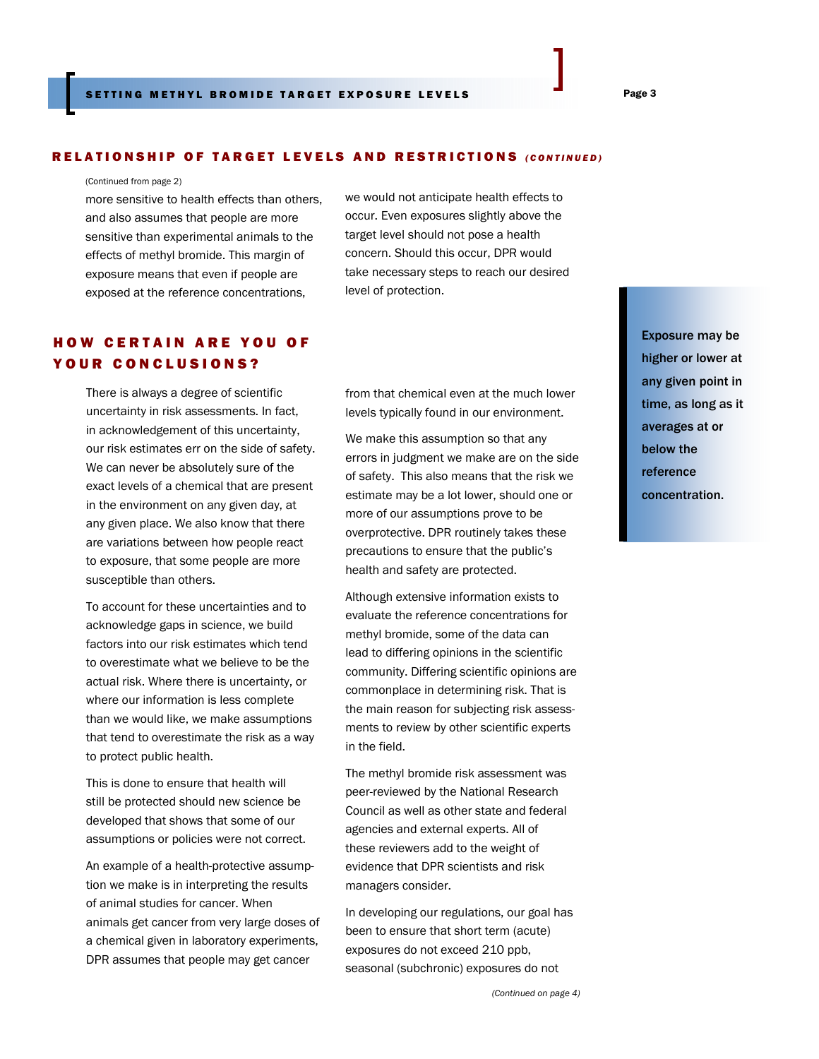### RELATIONSHIP OF TARGET LEVELS AND RESTRICTIONS *(CONTINUED)*

#### (Continued from page 2)

more sensitive to health effects than others, and also assumes that people are more sensitive than experimental animals to the effects of methyl bromide. This margin of exposure means that even if people are exposed at the reference concentrations,

# HOW CERTAIN ARE YOU OF YOUR CONCLUSIONS?

There is always a degree of scientific uncertainty in risk assessments. In fact, in acknowledgement of this uncertainty, our risk estimates err on the side of safety. We can never be absolutely sure of the exact levels of a chemical that are present in the environment on any given day, at any given place. We also know that there are variations between how people react to exposure, that some people are more susceptible than others.

To account for these uncertainties and to acknowledge gaps in science, we build factors into our risk estimates which tend to overestimate what we believe to be the actual risk. Where there is uncertainty, or where our information is less complete than we would like, we make assumptions that tend to overestimate the risk as a way to protect public health.

This is done to ensure that health will still be protected should new science be developed that shows that some of our assumptions or policies were not correct.

An example of a health-protective assumption we make is in interpreting the results of animal studies for cancer. When animals get cancer from very large doses of a chemical given in laboratory experiments, DPR assumes that people may get cancer

we would not anticipate health effects to occur. Even exposures slightly above the target level should not pose a health concern. Should this occur, DPR would take necessary steps to reach our desired level of protection.

from that chemical even at the much lower levels typically found in our environment.

We make this assumption so that any errors in judgment we make are on the side of safety. This also means that the risk we estimate may be a lot lower, should one or more of our assumptions prove to be overprotective. DPR routinely takes these precautions to ensure that the public's health and safety are protected.

Although extensive information exists to evaluate the reference concentrations for methyl bromide, some of the data can lead to differing opinions in the scientific community. Differing scientific opinions are commonplace in determining risk. That is the main reason for subjecting risk assessments to review by other scientific experts in the field.

The methyl bromide risk assessment was peer-reviewed by the National Research Council as well as other state and federal agencies and external experts. All of these reviewers add to the weight of evidence that DPR scientists and risk managers consider.

In developing our regulations, our goal has been to ensure that short term (acute) exposures do not exceed 210 ppb, seasonal (subchronic) exposures do not

*(Continued on page 4)* 

 Exposure may be higher or lower at any given point in time, as long as it averages at or below the reference concentration.